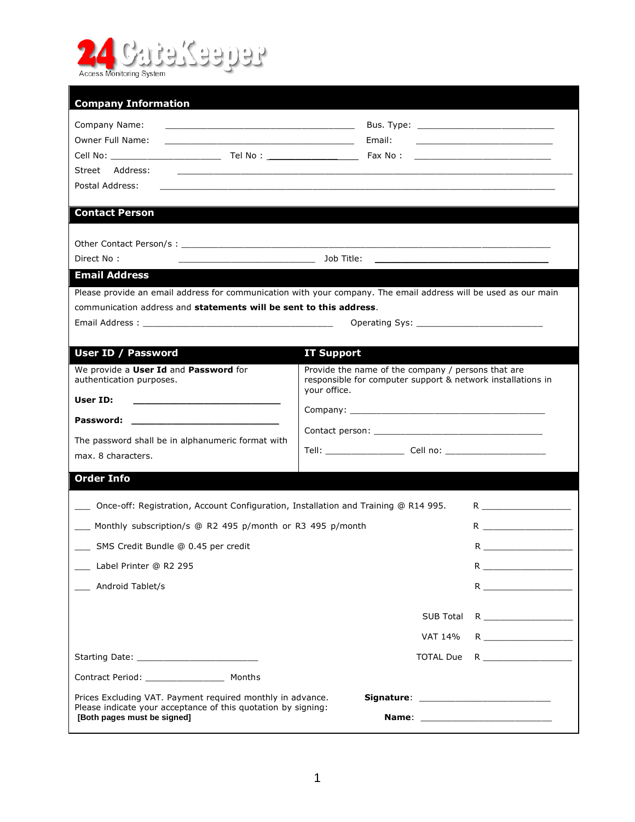

| Company Name:<br><u> 1989 - Jan Samuel Barbara, margaret eta idazlea (h. 1989).</u><br><b>Owner Full Name:</b><br><u> 2000 - Jan James James Jan James James James James James James James James James James James James James Jam</u><br>Street Address:<br>Postal Address:<br><b>Contact Person</b><br>Direct No:<br><b>Email Address</b><br>Please provide an email address for communication with your company. The email address will be used as our main | Email:<br>the control of the control of the control of the control of the control of the control of<br>Job Title:                 | <u> 2000 - Jan James James Barnett, amerikansk politik (</u><br><u> 1980 - John Stein, mars and de Britain (b. 1980)</u>                                                                                                                                                                           |
|----------------------------------------------------------------------------------------------------------------------------------------------------------------------------------------------------------------------------------------------------------------------------------------------------------------------------------------------------------------------------------------------------------------------------------------------------------------|-----------------------------------------------------------------------------------------------------------------------------------|----------------------------------------------------------------------------------------------------------------------------------------------------------------------------------------------------------------------------------------------------------------------------------------------------|
|                                                                                                                                                                                                                                                                                                                                                                                                                                                                |                                                                                                                                   |                                                                                                                                                                                                                                                                                                    |
|                                                                                                                                                                                                                                                                                                                                                                                                                                                                |                                                                                                                                   |                                                                                                                                                                                                                                                                                                    |
|                                                                                                                                                                                                                                                                                                                                                                                                                                                                |                                                                                                                                   |                                                                                                                                                                                                                                                                                                    |
|                                                                                                                                                                                                                                                                                                                                                                                                                                                                |                                                                                                                                   |                                                                                                                                                                                                                                                                                                    |
|                                                                                                                                                                                                                                                                                                                                                                                                                                                                |                                                                                                                                   |                                                                                                                                                                                                                                                                                                    |
|                                                                                                                                                                                                                                                                                                                                                                                                                                                                |                                                                                                                                   |                                                                                                                                                                                                                                                                                                    |
|                                                                                                                                                                                                                                                                                                                                                                                                                                                                |                                                                                                                                   |                                                                                                                                                                                                                                                                                                    |
|                                                                                                                                                                                                                                                                                                                                                                                                                                                                |                                                                                                                                   |                                                                                                                                                                                                                                                                                                    |
|                                                                                                                                                                                                                                                                                                                                                                                                                                                                |                                                                                                                                   |                                                                                                                                                                                                                                                                                                    |
|                                                                                                                                                                                                                                                                                                                                                                                                                                                                |                                                                                                                                   |                                                                                                                                                                                                                                                                                                    |
| communication address and statements will be sent to this address.                                                                                                                                                                                                                                                                                                                                                                                             |                                                                                                                                   |                                                                                                                                                                                                                                                                                                    |
| Email Address : with a state of the state of the state of the state of the state of the state of the state of the state of the state of the state of the state of the state of the state of the state of the state of the stat                                                                                                                                                                                                                                 |                                                                                                                                   |                                                                                                                                                                                                                                                                                                    |
| User ID / Password                                                                                                                                                                                                                                                                                                                                                                                                                                             | <b>IT Support</b>                                                                                                                 |                                                                                                                                                                                                                                                                                                    |
| We provide a User Id and Password for<br>authentication purposes.                                                                                                                                                                                                                                                                                                                                                                                              | Provide the name of the company / persons that are<br>responsible for computer support & network installations in<br>your office. |                                                                                                                                                                                                                                                                                                    |
| User ID:                                                                                                                                                                                                                                                                                                                                                                                                                                                       |                                                                                                                                   |                                                                                                                                                                                                                                                                                                    |
|                                                                                                                                                                                                                                                                                                                                                                                                                                                                |                                                                                                                                   |                                                                                                                                                                                                                                                                                                    |
| The password shall be in alphanumeric format with                                                                                                                                                                                                                                                                                                                                                                                                              |                                                                                                                                   |                                                                                                                                                                                                                                                                                                    |
| max. 8 characters.                                                                                                                                                                                                                                                                                                                                                                                                                                             |                                                                                                                                   |                                                                                                                                                                                                                                                                                                    |
| <b>Order Info</b>                                                                                                                                                                                                                                                                                                                                                                                                                                              |                                                                                                                                   |                                                                                                                                                                                                                                                                                                    |
| Once-off: Registration, Account Configuration, Installation and Training @ R14 995.                                                                                                                                                                                                                                                                                                                                                                            |                                                                                                                                   |                                                                                                                                                                                                                                                                                                    |
| Monthly subscription/s @ R2 495 p/month or R3 495 p/month                                                                                                                                                                                                                                                                                                                                                                                                      |                                                                                                                                   |                                                                                                                                                                                                                                                                                                    |
| ___ SMS Credit Bundle @ 0.45 per credit                                                                                                                                                                                                                                                                                                                                                                                                                        |                                                                                                                                   | Reserves                                                                                                                                                                                                                                                                                           |
| Label Printer @ R2 295                                                                                                                                                                                                                                                                                                                                                                                                                                         |                                                                                                                                   | R and $\mathbb{R}$ and $\mathbb{R}$ and $\mathbb{R}$ and $\mathbb{R}$ and $\mathbb{R}$ and $\mathbb{R}$ and $\mathbb{R}$ and $\mathbb{R}$ and $\mathbb{R}$ and $\mathbb{R}$ and $\mathbb{R}$ and $\mathbb{R}$ and $\mathbb{R}$ and $\mathbb{R}$ and $\mathbb{R}$ and $\mathbb{R}$ and $\mathbb{R}$ |
| Android Tablet/s                                                                                                                                                                                                                                                                                                                                                                                                                                               |                                                                                                                                   |                                                                                                                                                                                                                                                                                                    |
|                                                                                                                                                                                                                                                                                                                                                                                                                                                                | <b>SUB Total</b>                                                                                                                  |                                                                                                                                                                                                                                                                                                    |
|                                                                                                                                                                                                                                                                                                                                                                                                                                                                | VAT 14%                                                                                                                           | $R \underbrace{\hspace{2cm}}$                                                                                                                                                                                                                                                                      |
|                                                                                                                                                                                                                                                                                                                                                                                                                                                                | <b>TOTAL Due</b>                                                                                                                  |                                                                                                                                                                                                                                                                                                    |
| Contract Period: ________________________ Months                                                                                                                                                                                                                                                                                                                                                                                                               |                                                                                                                                   |                                                                                                                                                                                                                                                                                                    |
| Prices Excluding VAT. Payment required monthly in advance.                                                                                                                                                                                                                                                                                                                                                                                                     |                                                                                                                                   |                                                                                                                                                                                                                                                                                                    |
| Please indicate your acceptance of this quotation by signing:<br>[Both pages must be signed]                                                                                                                                                                                                                                                                                                                                                                   |                                                                                                                                   | Name: when the contract of the contract of the contract of the contract of the contract of the contract of the contract of the contract of the contract of the contract of the contract of the contract of the contract of the                                                                     |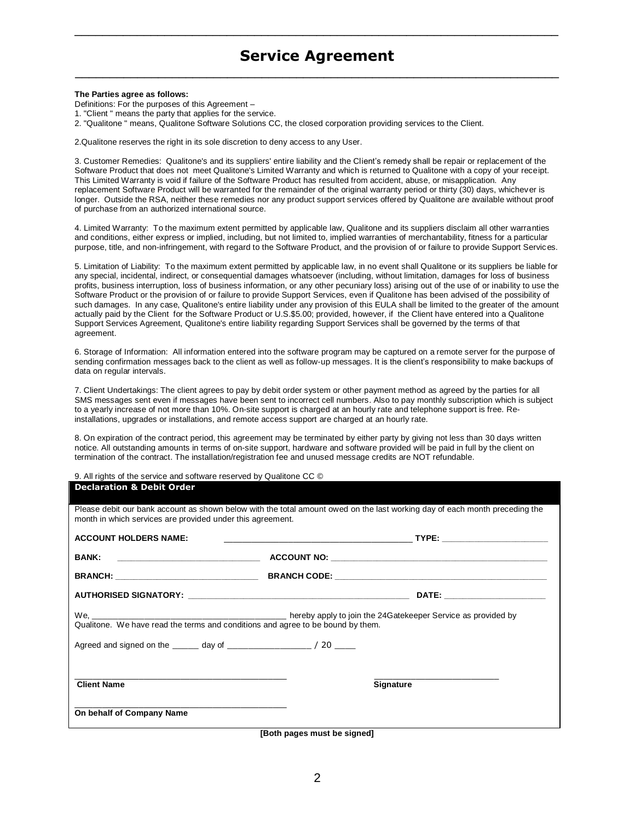# **Service Agreement** \_\_\_\_\_\_\_\_\_\_\_\_\_\_\_\_\_\_\_\_\_\_\_\_\_\_\_\_\_\_\_\_\_\_\_\_\_\_\_\_\_\_\_\_\_\_\_\_\_\_\_\_\_\_\_\_\_\_\_\_\_\_\_\_\_\_\_\_\_\_

\_\_\_\_\_\_\_\_\_\_\_\_\_\_\_\_\_\_\_\_\_\_\_\_\_\_\_\_\_\_\_\_\_\_\_\_\_\_\_\_\_\_\_\_\_\_\_\_\_\_\_\_\_\_\_\_\_\_\_\_\_\_\_\_\_\_\_\_\_\_

#### **The Parties agree as follows:**

Definitions: For the purposes of this Agreement –

1. "Client " means the party that applies for the service.

2. "Qualitone " means, Qualitone Software Solutions CC, the closed corporation providing services to the Client.

2.Qualitone reserves the right in its sole discretion to deny access to any User.

3. Customer Remedies: Qualitone's and its suppliers' entire liability and the Client's remedy shall be repair or replacement of the Software Product that does not meet Qualitone's Limited Warranty and which is returned to Qualitone with a copy of your receipt. This Limited Warranty is void if failure of the Software Product has resulted from accident, abuse, or misapplication. Any replacement Software Product will be warranted for the remainder of the original warranty period or thirty (30) days, whichever is longer. Outside the RSA, neither these remedies nor any product support services offered by Qualitone are available without proof of purchase from an authorized international source.

4. Limited Warranty: To the maximum extent permitted by applicable law, Qualitone and its suppliers disclaim all other warranties and conditions, either express or implied, including, but not limited to, implied warranties of merchantability, fitness for a particular purpose, title, and non-infringement, with regard to the Software Product, and the provision of or failure to provide Support Services.

5. Limitation of Liability: To the maximum extent permitted by applicable law, in no event shall Qualitone or its suppliers be liable for any special, incidental, indirect, or consequential damages whatsoever (including, without limitation, damages for loss of business profits, business interruption, loss of business information, or any other pecuniary loss) arising out of the use of or inabi lity to use the Software Product or the provision of or failure to provide Support Services, even if Qualitone has been advised of the possibility of such damages. In any case, Qualitone's entire liability under any provision of this EULA shall be limited to the greater of the amount actually paid by the Client for the Software Product or U.S.\$5.00; provided, however, if the Client have entered into a Qualitone Support Services Agreement, Qualitone's entire liability regarding Support Services shall be governed by the terms of that agreement.

6. Storage of Information: All information entered into the software program may be captured on a remote server for the purpose of sending confirmation messages back to the client as well as follow-up messages. It is the client's responsibility to make backups of data on regular intervals.

7. Client Undertakings: The client agrees to pay by debit order system or other payment method as agreed by the parties for all SMS messages sent even if messages have been sent to incorrect cell numbers. Also to pay monthly subscription which is subject to a yearly increase of not more than 10%. On-site support is charged at an hourly rate and telephone support is free. Reinstallations, upgrades or installations, and remote access support are charged at an hourly rate.

8. On expiration of the contract period, this agreement may be terminated by either party by giving not less than 30 days written notice. All outstanding amounts in terms of on-site support, hardware and software provided will be paid in full by the client on termination of the contract. The installation/registration fee and unused message credits are NOT refundable.

9. All rights of the service and software reserved by Qualitone CC ©

#### **Declaration & Debit Order**

| month in which services are provided under this agreement. | Please debit our bank account as shown below with the total amount owed on the last working day of each month preceding the |
|------------------------------------------------------------|-----------------------------------------------------------------------------------------------------------------------------|
| <b>ACCOUNT HOLDERS NAME:</b>                               | the contract of the contract of the contract of the contract of the contract of the contract of the contract o              |
|                                                            |                                                                                                                             |
|                                                            |                                                                                                                             |
|                                                            |                                                                                                                             |
|                                                            |                                                                                                                             |
|                                                            |                                                                                                                             |
| <b>Client Name</b>                                         | Signature                                                                                                                   |
| On behalf of Company Name                                  |                                                                                                                             |

**[Both pages must be signed]**